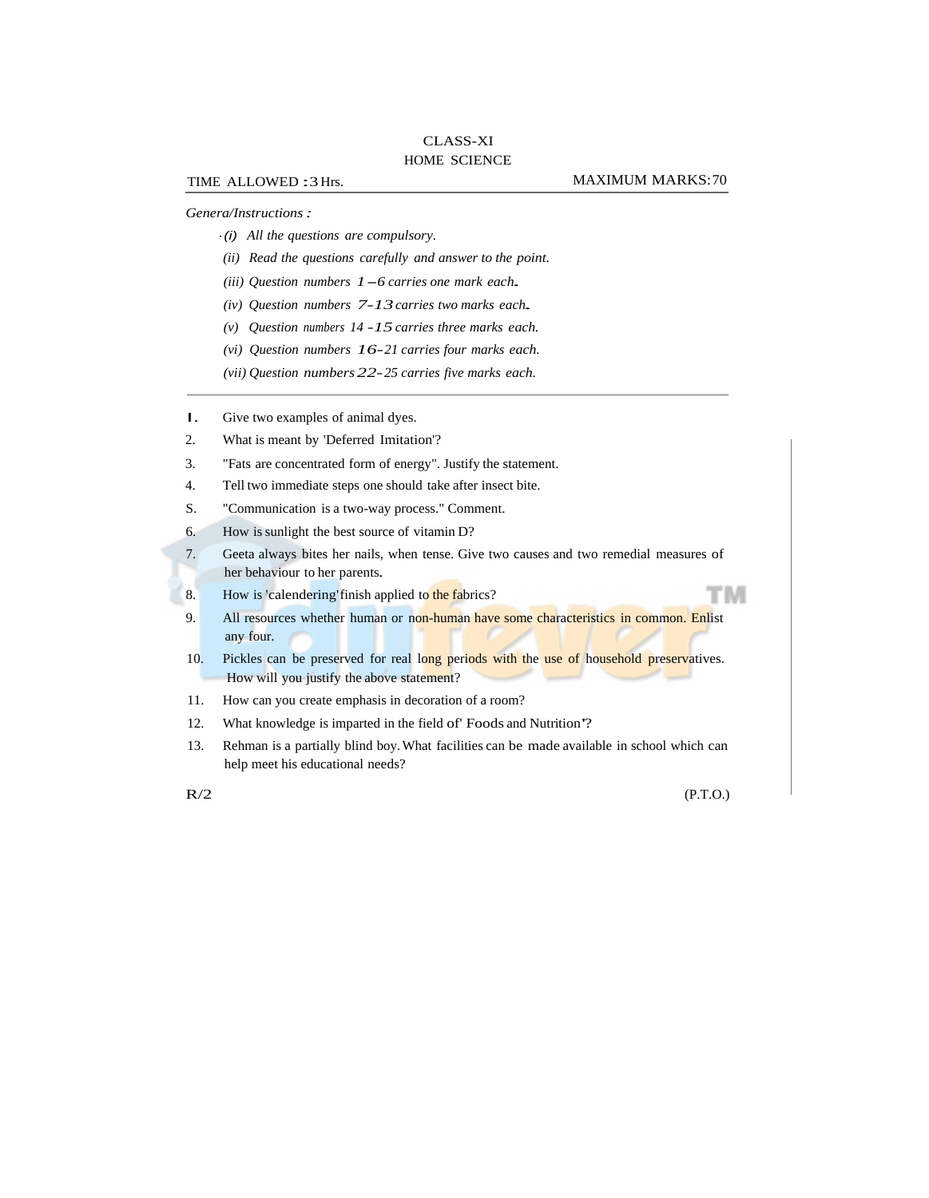## CLASS-XI HOME SCIENCE

## *Genera/Instructions :*

- ·(i) *All the questions are compulsory.*
- *(ii) Read the questions carefully and answer to the point.*
- *(iii) Question numbers 1*-*6 carries one mark each.*
- *(iv) Question numbers 7-13 carries two marks each.*
- *(v) Question numbers 14 -15 carries three marks each.*
- *(vi) Question numbers 16- 21 carries four marks each.*
- *(vii) Question numbers 22- 25 carries five marks each.*
- I. Give two examples of animal dyes.
- 2. What is meant by 'Deferred Imitation'?
- 3. "Fats are concentrated form of energy". Justify the statement.
- 4. Tell two immediate steps one should take after insect bite.
- S. "Communication is a two-way process." Comment.
- 6. How is sunlight the best source of vitamin D?
- 7. Geeta always bites her nails, when tense. Give two causes and two remedial measures of her behaviour to her parents.
- 8. How is 'calendering' finish applied to the fabrics?
- 9. All resources whether human or non-human have some characteristics in common. Enlist any four.
- 10. Pickles can be preserved for real long periods with the use of household preservatives. How will you justify the above statement?
- 11. How can you create emphasis in decoration of a room?
- 12. What knowledge is imparted in the field of' Foods and Nutrition'?
- 13. Rehman is a partially blind boy. What facilities can be made available in school which can help meet his educational needs?

 $R/2$  (P.T.O.)

тм